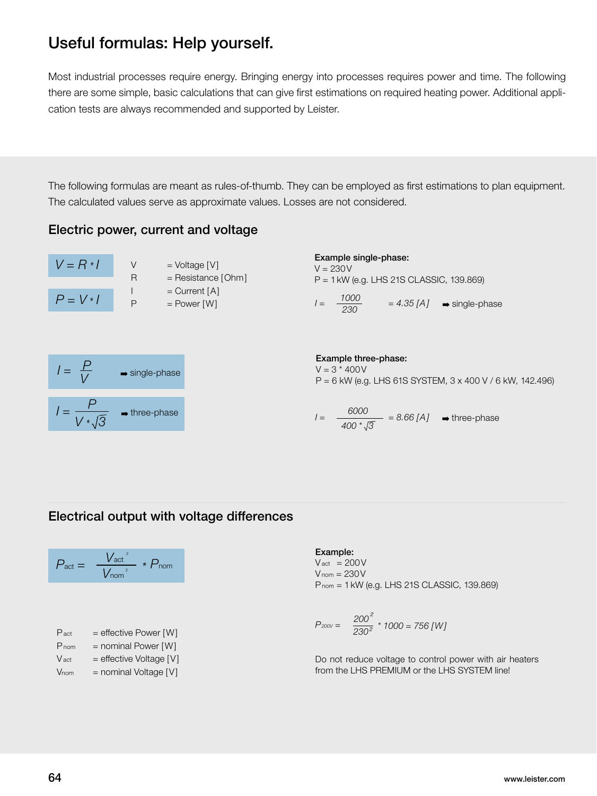# Useful formulas: Help yourself.

Most industrial processes require energy. Bringing energy into processes requires power and time. The following there are some simple, basic calculations that can give first estimations on required heating power. Additional application tests are always recommended and supported by Leister.

The following formulas are meant as rules-of-thumb. They can be employed as first estimations to plan equipment. The calculated values serve as approximate values. Losses are not considered.

### Electric power, current and voltage



Example single-phase:

 $V = 230V$ P = 1kW (e.g. LHS 21S CLASSIC, 139.869)

 $I = \frac{1000}{230}$  $= 4.35$   $[A] \rightarrow$  single-phase

$$
I = \frac{P}{V} \qquad \Rightarrow \text{single-phase}
$$
\n
$$
I = \frac{P}{V \cdot \sqrt{3}} \qquad \Rightarrow \text{three-phase}
$$

Example three-phase:  $V = 3 * 400V$ P = 6 kW (e.g. LHS 61S SYSTEM, 3 x 400 V / 6 kW, 142.496)

$$
\frac{7}{V*\sqrt{3}} \rightarrow \text{three-phase}
$$
\n
$$
I = \frac{6000}{400*\sqrt{3}} = 8.66 \, [A] \rightarrow \text{three-phase}
$$

## Electrical output with voltage differences

$$
P_{\text{act}} = \frac{V_{\text{act}}^2}{V_{\text{nom}}^2} * P_{\text{nom}}
$$

| $P_{\text{act}}$ | $=$ effective Power [W] |
|------------------|-------------------------|
| $P_{nom}$        | $=$ nominal Power [W]   |
| V <sub>act</sub> | = effective Voltage [V] |

 $V<sub>nom</sub>$  = nominal Voltage  $[V]$ 

#### Example:

*I =*

 $V<sub>act</sub> = 200 V$  $V_{nom} = 230V$ Pnom = 1kW (e.g. LHS 21S CLASSIC, 139.869)

$$
P_{200V} = \frac{200^2}{230^2} \times 1000 = 756 \, [W]
$$

Do not reduce voltage to control power with air heaters from the LHS PREMIUM or the LHS SYSTEM line!